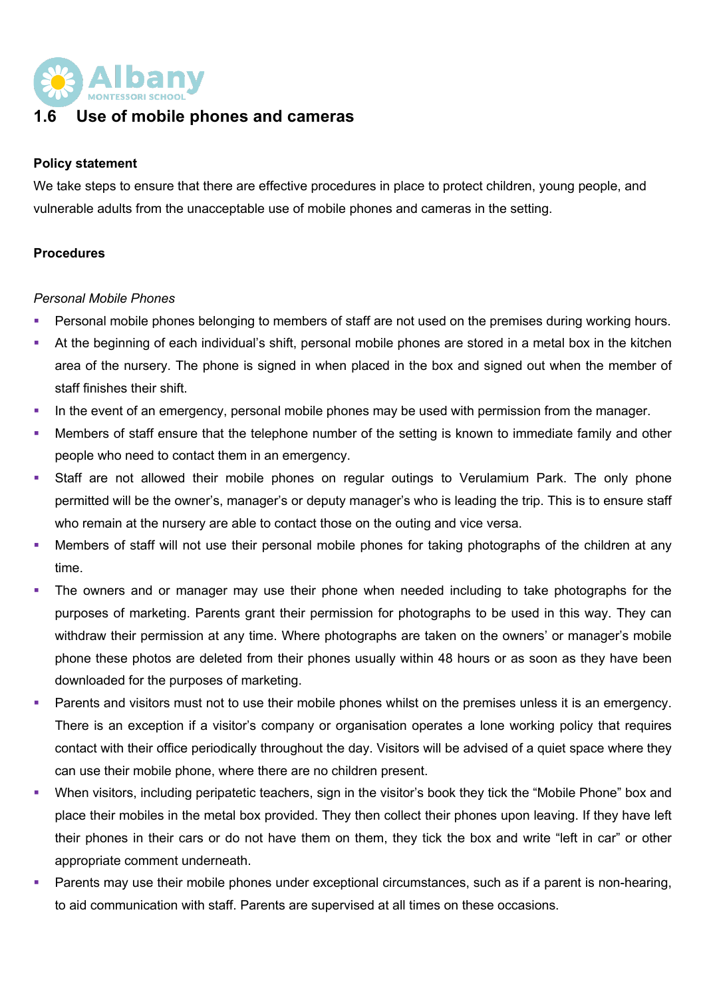

# **1.6 Use of mobile phones and cameras**

#### **Policy statement**

We take steps to ensure that there are effective procedures in place to protect children, young people, and vulnerable adults from the unacceptable use of mobile phones and cameras in the setting.

#### **Procedures**

#### *Personal Mobile Phones*

- Personal mobile phones belonging to members of staff are not used on the premises during working hours.
- At the beginning of each individual's shift, personal mobile phones are stored in a metal box in the kitchen area of the nursery. The phone is signed in when placed in the box and signed out when the member of staff finishes their shift.
- In the event of an emergency, personal mobile phones may be used with permission from the manager.
- Members of staff ensure that the telephone number of the setting is known to immediate family and other people who need to contact them in an emergency.
- Staff are not allowed their mobile phones on regular outings to Verulamium Park. The only phone permitted will be the owner's, manager's or deputy manager's who is leading the trip. This is to ensure staff who remain at the nursery are able to contact those on the outing and vice versa.
- Members of staff will not use their personal mobile phones for taking photographs of the children at any time.
- The owners and or manager may use their phone when needed including to take photographs for the purposes of marketing. Parents grant their permission for photographs to be used in this way. They can withdraw their permission at any time. Where photographs are taken on the owners' or manager's mobile phone these photos are deleted from their phones usually within 48 hours or as soon as they have been downloaded for the purposes of marketing.
- Parents and visitors must not to use their mobile phones whilst on the premises unless it is an emergency. There is an exception if a visitor's company or organisation operates a lone working policy that requires contact with their office periodically throughout the day. Visitors will be advised of a quiet space where they can use their mobile phone, where there are no children present.
- § When visitors, including peripatetic teachers, sign in the visitor's book they tick the "Mobile Phone" box and place their mobiles in the metal box provided. They then collect their phones upon leaving. If they have left their phones in their cars or do not have them on them, they tick the box and write "left in car" or other appropriate comment underneath.
- Parents may use their mobile phones under exceptional circumstances, such as if a parent is non-hearing, to aid communication with staff. Parents are supervised at all times on these occasions.